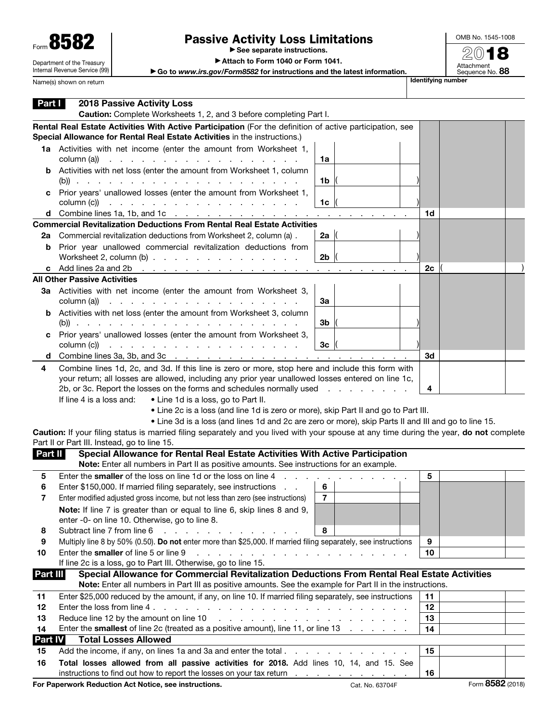| Form 858.                  |
|----------------------------|
| Department of the Treasury |

Internal Revenue Service (99)

## Passive Activity Loss Limitations

▶ See separate instructions.

▶ Attach to Form 1040 or Form 1041.

▶ Go to *www.irs.gov/Form8582* for instructions and the latest information. Name(s) shown on return **International Control of the control of the control of the control of the Unitednation** 

| Part I   | <b>2018 Passive Activity Loss</b><br>Caution: Complete Worksheets 1, 2, and 3 before completing Part I.                                                                                                                                                                                                                                                                                                                                       |                |    |                      |  |
|----------|-----------------------------------------------------------------------------------------------------------------------------------------------------------------------------------------------------------------------------------------------------------------------------------------------------------------------------------------------------------------------------------------------------------------------------------------------|----------------|----|----------------------|--|
|          | Rental Real Estate Activities With Active Participation (For the definition of active participation, see<br>Special Allowance for Rental Real Estate Activities in the instructions.)                                                                                                                                                                                                                                                         |                |    |                      |  |
|          | 1a Activities with net income (enter the amount from Worksheet 1,<br>column (a))<br>the contract of the contract of the contract of the contract of                                                                                                                                                                                                                                                                                           | 1a             |    |                      |  |
|          | <b>b</b> Activities with net loss (enter the amount from Worksheet 1, column                                                                                                                                                                                                                                                                                                                                                                  | 1b             |    |                      |  |
|          | Prior years' unallowed losses (enter the amount from Worksheet 1,<br>$\text{column (c)}$                                                                                                                                                                                                                                                                                                                                                      | 1c             |    |                      |  |
|          | d Combine lines 1a, 1b, and 1c $\ldots$ $\ldots$ $\ldots$ $\ldots$ $\ldots$ $\ldots$ $\ldots$ $\ldots$ $\ldots$                                                                                                                                                                                                                                                                                                                               |                | 1d |                      |  |
|          | <b>Commercial Revitalization Deductions From Rental Real Estate Activities</b>                                                                                                                                                                                                                                                                                                                                                                |                |    |                      |  |
| 2a       | Commercial revitalization deductions from Worksheet 2, column (a).                                                                                                                                                                                                                                                                                                                                                                            | 2a $\parallel$ |    |                      |  |
| b        | Prior year unallowed commercial revitalization deductions from<br>Worksheet 2, column $(b)$                                                                                                                                                                                                                                                                                                                                                   | 2 <sub>b</sub> |    |                      |  |
|          | c Add lines 2a and 2b $\cdots$ $\cdots$ $\cdots$ $\cdots$ $\cdots$ $\cdots$ $\cdots$ $\cdots$ $\cdots$                                                                                                                                                                                                                                                                                                                                        |                | 2c |                      |  |
|          | <b>All Other Passive Activities</b>                                                                                                                                                                                                                                                                                                                                                                                                           |                |    |                      |  |
|          | 3a Activities with net income (enter the amount from Worksheet 3,<br>$\text{column (a)}$ $\ldots$ $\ldots$ $\ldots$ $\ldots$ $\ldots$ $\ldots$ $\ldots$                                                                                                                                                                                                                                                                                       | За             |    |                      |  |
|          | <b>b</b> Activities with net loss (enter the amount from Worksheet 3, column                                                                                                                                                                                                                                                                                                                                                                  | 3b             |    |                      |  |
|          | Prior years' unallowed losses (enter the amount from Worksheet 3,<br>$\text{column (c)}$ $\ldots$ $\ldots$ $\ldots$ $\ldots$ $\ldots$ $\ldots$ $\ldots$                                                                                                                                                                                                                                                                                       | Зc             |    |                      |  |
| d        | Combine lines 3a, 3b, and 3c $\cdots$ $\cdots$ $\cdots$ $\cdots$ $\cdots$ $\cdots$ $\cdots$ $\cdots$ $\cdots$                                                                                                                                                                                                                                                                                                                                 |                | 3d |                      |  |
|          | your return; all losses are allowed, including any prior year unallowed losses entered on line 1c,<br>2b, or 3c. Report the losses on the forms and schedules normally used<br>If line 4 is a loss and:<br>• Line 1d is a loss, go to Part II.<br>• Line 2c is a loss (and line 1d is zero or more), skip Part II and go to Part III.<br>• Line 3d is a loss (and lines 1d and 2c are zero or more), skip Parts II and III and go to line 15. |                | 4  |                      |  |
|          | Caution: If your filing status is married filing separately and you lived with your spouse at any time during the year, do not complete                                                                                                                                                                                                                                                                                                       |                |    |                      |  |
|          | Part II or Part III. Instead, go to line 15.                                                                                                                                                                                                                                                                                                                                                                                                  |                |    |                      |  |
| Part II  | Special Allowance for Rental Real Estate Activities With Active Participation<br>Note: Enter all numbers in Part II as positive amounts. See instructions for an example.                                                                                                                                                                                                                                                                     |                |    |                      |  |
| 5        | Enter the smaller of the loss on line 1d or the loss on line 4                                                                                                                                                                                                                                                                                                                                                                                |                | 5  |                      |  |
| 6        | Enter \$150,000. If married filing separately, see instructions<br>$\sim 100$ $\mu$                                                                                                                                                                                                                                                                                                                                                           | 6              |    |                      |  |
| 7        | Enter modified adjusted gross income, but not less than zero (see instructions)                                                                                                                                                                                                                                                                                                                                                               | $\overline{7}$ |    |                      |  |
|          | Note: If line 7 is greater than or equal to line 6, skip lines 8 and 9,                                                                                                                                                                                                                                                                                                                                                                       |                |    |                      |  |
|          | enter -0- on line 10. Otherwise, go to line 8.                                                                                                                                                                                                                                                                                                                                                                                                |                |    |                      |  |
| 8        | Subtract line 7 from line 6<br>Multiply line 8 by 50% (0.50). Do not enter more than \$25,000. If married filing separately, see instructions                                                                                                                                                                                                                                                                                                 | 8              | 9  |                      |  |
| 9<br>10  | Enter the smaller of line 5 or line 9<br>a construction of the construction of the construction of the construction of the construction of the construction of the construction of the construction of the construction of the construction of the construction of the                                                                                                                                                                        |                | 10 |                      |  |
|          | If line 2c is a loss, go to Part III. Otherwise, go to line 15.                                                                                                                                                                                                                                                                                                                                                                               |                |    |                      |  |
| Part III | Special Allowance for Commercial Revitalization Deductions From Rental Real Estate Activities                                                                                                                                                                                                                                                                                                                                                 |                |    |                      |  |
|          | Note: Enter all numbers in Part III as positive amounts. See the example for Part II in the instructions.                                                                                                                                                                                                                                                                                                                                     |                |    |                      |  |
| 11       | Enter \$25,000 reduced by the amount, if any, on line 10. If married filing separately, see instructions                                                                                                                                                                                                                                                                                                                                      |                | 11 |                      |  |
| 12       |                                                                                                                                                                                                                                                                                                                                                                                                                                               |                | 12 |                      |  |
| 13       | Reduce line 12 by the amount on line 10                                                                                                                                                                                                                                                                                                                                                                                                       | 13             |    |                      |  |
| 14       | Enter the smallest of line 2c (treated as a positive amount), line 11, or line 13                                                                                                                                                                                                                                                                                                                                                             |                | 14 |                      |  |
| Part IV  | <b>Total Losses Allowed</b>                                                                                                                                                                                                                                                                                                                                                                                                                   |                |    |                      |  |
| 15       |                                                                                                                                                                                                                                                                                                                                                                                                                                               |                | 15 |                      |  |
| 16       | Total losses allowed from all passive activities for 2018. Add lines 10, 14, and 15. See                                                                                                                                                                                                                                                                                                                                                      |                |    |                      |  |
|          | instructions to find out how to report the losses on your tax return                                                                                                                                                                                                                                                                                                                                                                          |                | 16 | $Q$ <sub>D</sub> $Q$ |  |

For Paperwork Reduction Act Notice, see instructions. The Cat. No. 63704F Form 8582 (2018)

OMB No. 1545-1008 2018

Attachment<br>Sequence No. **88** 

| lentifying number |  |
|-------------------|--|
|                   |  |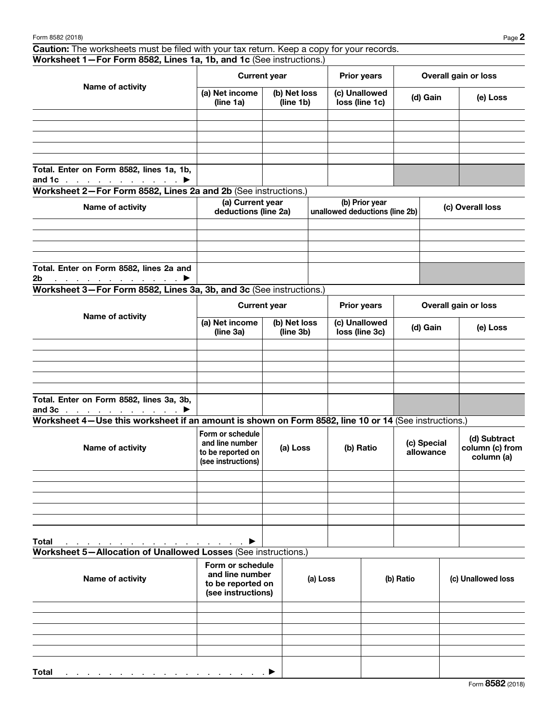Caution: The worksheets must be filed with your tax return. Keep a copy for your records. Worksheet 1—For Form 8582, Lines 1a, 1b, and 1c (See instructions.)

| Name of activity                                                                       |                             | <b>Current year</b>       | <b>Prior years</b>              | Overall gain or loss |          |  |
|----------------------------------------------------------------------------------------|-----------------------------|---------------------------|---------------------------------|----------------------|----------|--|
|                                                                                        | (a) Net income<br>(line 1a) | (b) Net loss<br>(line 1b) | (c) Unallowed<br>loss (line 1c) | (d) Gain             | (e) Loss |  |
|                                                                                        |                             |                           |                                 |                      |          |  |
|                                                                                        |                             |                           |                                 |                      |          |  |
|                                                                                        |                             |                           |                                 |                      |          |  |
|                                                                                        |                             |                           |                                 |                      |          |  |
|                                                                                        |                             |                           |                                 |                      |          |  |
| Total. Enter on Form 8582, lines 1a, 1b,<br>and 1c $\ldots$ $\ldots$ $\ldots$ $\ldots$ |                             |                           |                                 |                      |          |  |

Worksheet 2—For Form 8582, Lines 2a and 2b (See instructions.)

| Name of activity                                   | (a) Current year<br>deductions (line 2a) | (b) Prior year<br>unallowed deductions (line 2b) | (c) Overall loss |
|----------------------------------------------------|------------------------------------------|--------------------------------------------------|------------------|
|                                                    |                                          |                                                  |                  |
|                                                    |                                          |                                                  |                  |
|                                                    |                                          |                                                  |                  |
|                                                    |                                          |                                                  |                  |
| Total. Enter on Form 8582, lines 2a and            |                                          |                                                  |                  |
| 2 <sub>b</sub><br>a se a ser a ser a ser a ser a ≯ |                                          |                                                  |                  |

Worksheet 3—For Form 8582, Lines 3a, 3b, and 3c (See instructions.)

| Name of activity                                                           | <b>Current year</b>         |                           | <b>Prior years</b>              | Overall gain or loss |          |  |
|----------------------------------------------------------------------------|-----------------------------|---------------------------|---------------------------------|----------------------|----------|--|
|                                                                            | (a) Net income<br>(line 3a) | (b) Net loss<br>(line 3b) | (c) Unallowed<br>loss (line 3c) | (d) Gain             | (e) Loss |  |
|                                                                            |                             |                           |                                 |                      |          |  |
|                                                                            |                             |                           |                                 |                      |          |  |
|                                                                            |                             |                           |                                 |                      |          |  |
|                                                                            |                             |                           |                                 |                      |          |  |
|                                                                            |                             |                           |                                 |                      |          |  |
| Total. Enter on Form 8582, lines 3a, 3b,<br>and $3c$ $\blacktriangleright$ |                             |                           |                                 |                      |          |  |

Worksheet 4—Use this worksheet if an amount is shown on Form 8582, line 10 or 14 (See instructions.)

| Name of activity | Form or schedule<br>and line number<br>to be reported on<br>(see instructions) | (a) Loss | (b) Ratio | (c) Special<br>allowance | (d) Subtract<br>column (c) from<br>column (a) |
|------------------|--------------------------------------------------------------------------------|----------|-----------|--------------------------|-----------------------------------------------|
|                  |                                                                                |          |           |                          |                                               |
|                  |                                                                                |          |           |                          |                                               |
|                  |                                                                                |          |           |                          |                                               |
|                  |                                                                                |          |           |                          |                                               |
|                  |                                                                                |          |           |                          |                                               |
|                  |                                                                                |          |           |                          |                                               |

Total . . . . . . . . . . . . . . . .  $\blacktriangleright$ Worksheet 5—Allocation of Unallowed Losses (See instructions.)

| Name of activity                                                           | Form or schedule<br>and line number<br>to be reported on<br>(see instructions) | (a) Loss | (b) Ratio | (c) Unallowed loss |
|----------------------------------------------------------------------------|--------------------------------------------------------------------------------|----------|-----------|--------------------|
|                                                                            |                                                                                |          |           |                    |
|                                                                            |                                                                                |          |           |                    |
|                                                                            |                                                                                |          |           |                    |
|                                                                            |                                                                                |          |           |                    |
|                                                                            |                                                                                |          |           |                    |
| <b>Total</b><br>a se a construir a construir a construir a construir de la |                                                                                |          |           |                    |